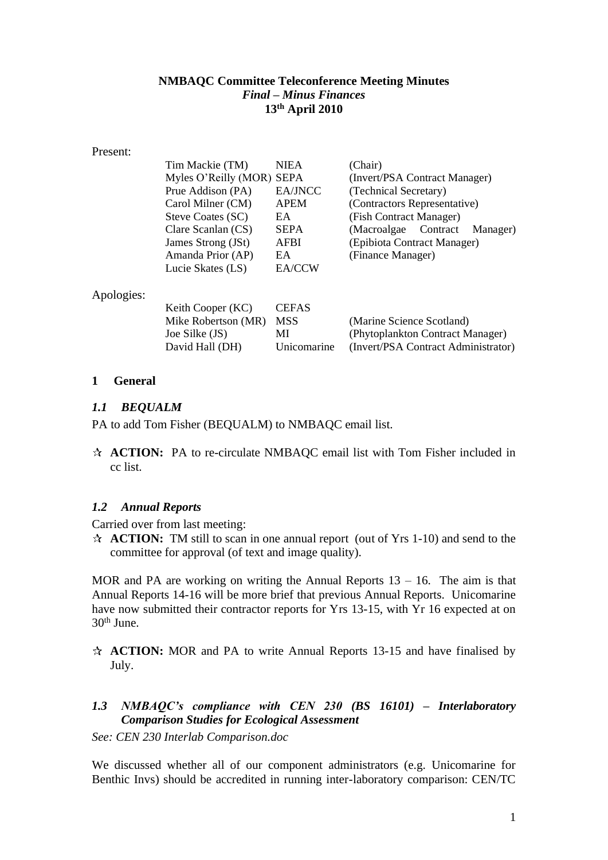#### **NMBAQC Committee Teleconference Meeting Minutes** *Final – Minus Finances* **13th April 2010**

#### Present:

| Tim Mackie (TM)           | <b>NIEA</b> | (Chair)                          |
|---------------------------|-------------|----------------------------------|
| Myles O'Reilly (MOR) SEPA |             | (Invert/PSA Contract Manager)    |
| Prue Addison (PA)         | EA/JNCC     | (Technical Secretary)            |
| Carol Milner (CM)         | <b>APEM</b> | (Contractors Representative)     |
| Steve Coates (SC)         | EA          | (Fish Contract Manager)          |
| Clare Scanlan (CS)        | <b>SEPA</b> | (Macroalgae Contract<br>Manager) |
| James Strong (JSt)        | AFBI        | (Epibiota Contract Manager)      |
| Amanda Prior (AP)         | EA          | (Finance Manager)                |
| Lucie Skates (LS)         | EA/CCW      |                                  |
|                           |             |                                  |
|                           |             |                                  |

Apologies:

| Keith Cooper (KC)   | <b>CEFAS</b> |                                     |
|---------------------|--------------|-------------------------------------|
| Mike Robertson (MR) | <b>MSS</b>   | (Marine Science Scotland)           |
| Joe Silke (JS)      | МI           | (Phytoplankton Contract Manager)    |
| David Hall (DH)     | Unicomarine  | (Invert/PSA Contract Administrator) |
|                     |              |                                     |

#### **1 General**

#### *1.1 BEQUALM*

PA to add Tom Fisher (BEQUALM) to NMBAQC email list.

**ACTION:** PA to re-circulate NMBAQC email list with Tom Fisher included in cc list.

### *1.2 Annual Reports*

Carried over from last meeting:

**ACTION:** TM still to scan in one annual report (out of Yrs 1-10) and send to the committee for approval (of text and image quality).

MOR and PA are working on writing the Annual Reports  $13 - 16$ . The aim is that Annual Reports 14-16 will be more brief that previous Annual Reports. Unicomarine have now submitted their contractor reports for Yrs 13-15, with Yr 16 expected at on 30th June.

**ACTION:** MOR and PA to write Annual Reports 13-15 and have finalised by July.

## *1.3 NMBAQC's compliance with CEN 230 (BS 16101) – Interlaboratory Comparison Studies for Ecological Assessment*

*See: CEN 230 Interlab Comparison.doc*

We discussed whether all of our component administrators (e.g. Unicomarine for Benthic Invs) should be accredited in running inter-laboratory comparison: CEN/TC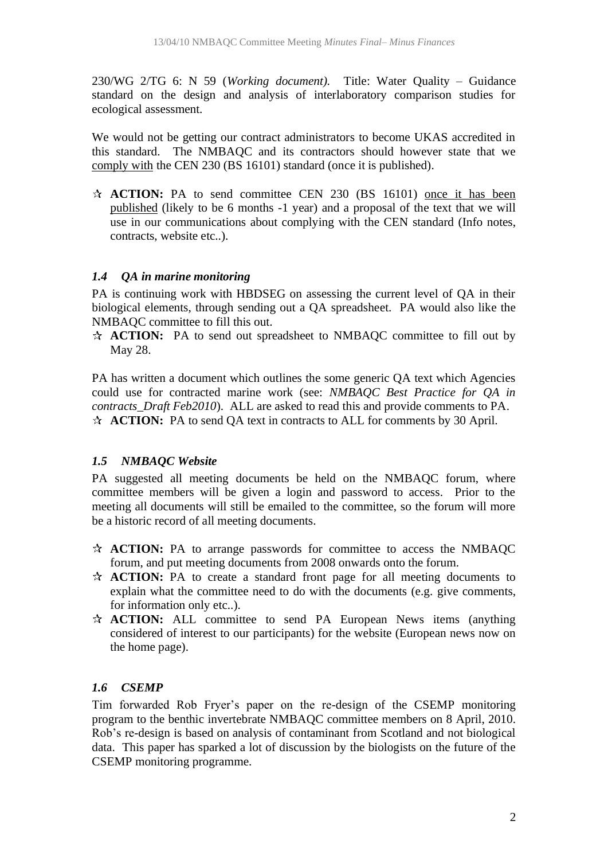230/WG 2/TG 6: N 59 (*Working document).* Title: Water Quality – Guidance standard on the design and analysis of interlaboratory comparison studies for ecological assessment.

We would not be getting our contract administrators to become UKAS accredited in this standard. The NMBAQC and its contractors should however state that we comply with the CEN 230 (BS 16101) standard (once it is published).

**ACTION:** PA to send committee CEN 230 (BS 16101) once it has been published (likely to be 6 months -1 year) and a proposal of the text that we will use in our communications about complying with the CEN standard (Info notes, contracts, website etc..).

#### *1.4 QA in marine monitoring*

PA is continuing work with HBDSEG on assessing the current level of QA in their biological elements, through sending out a QA spreadsheet. PA would also like the NMBAQC committee to fill this out.

**ACTION:** PA to send out spreadsheet to NMBAQC committee to fill out by May 28.

PA has written a document which outlines the some generic QA text which Agencies could use for contracted marine work (see: *NMBAQC Best Practice for QA in contracts\_Draft Feb2010*). ALL are asked to read this and provide comments to PA. **ACTION:** PA to send QA text in contracts to ALL for comments by 30 April.

### *1.5 NMBAQC Website*

PA suggested all meeting documents be held on the NMBAQC forum, where committee members will be given a login and password to access. Prior to the meeting all documents will still be emailed to the committee, so the forum will more be a historic record of all meeting documents.

- **ACTION:** PA to arrange passwords for committee to access the NMBAQC forum, and put meeting documents from 2008 onwards onto the forum.
- **ACTION:** PA to create a standard front page for all meeting documents to explain what the committee need to do with the documents (e.g. give comments, for information only etc..).
- **ACTION:** ALL committee to send PA European News items (anything considered of interest to our participants) for the website (European news now on the home page).

#### *1.6 CSEMP*

Tim forwarded Rob Fryer's paper on the re-design of the CSEMP monitoring program to the benthic invertebrate NMBAQC committee members on 8 April, 2010. Rob's re-design is based on analysis of contaminant from Scotland and not biological data. This paper has sparked a lot of discussion by the biologists on the future of the CSEMP monitoring programme.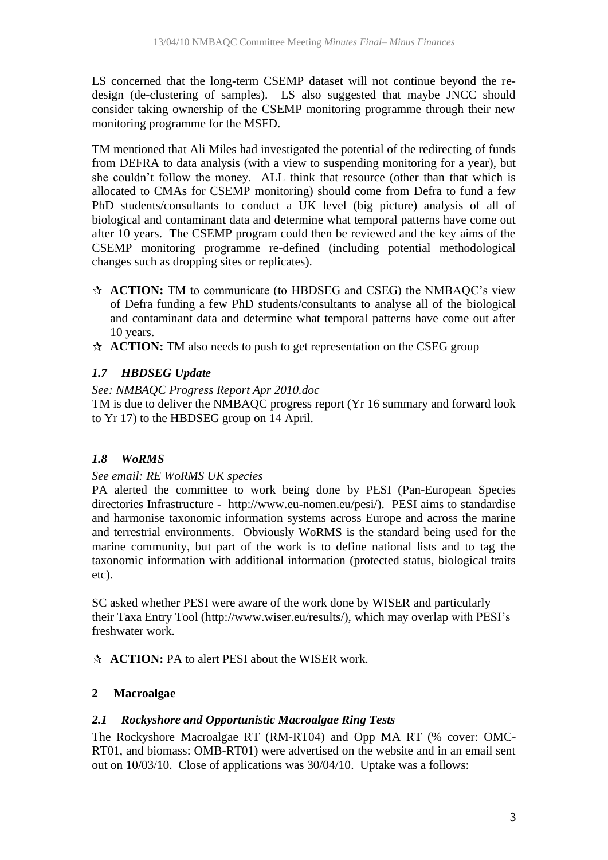LS concerned that the long-term CSEMP dataset will not continue beyond the redesign (de-clustering of samples). LS also suggested that maybe JNCC should consider taking ownership of the CSEMP monitoring programme through their new monitoring programme for the MSFD.

TM mentioned that Ali Miles had investigated the potential of the redirecting of funds from DEFRA to data analysis (with a view to suspending monitoring for a year), but she couldn't follow the money. ALL think that resource (other than that which is allocated to CMAs for CSEMP monitoring) should come from Defra to fund a few PhD students/consultants to conduct a UK level (big picture) analysis of all of biological and contaminant data and determine what temporal patterns have come out after 10 years. The CSEMP program could then be reviewed and the key aims of the CSEMP monitoring programme re-defined (including potential methodological changes such as dropping sites or replicates).

- **ACTION:** TM to communicate (to HBDSEG and CSEG) the NMBAQC's view of Defra funding a few PhD students/consultants to analyse all of the biological and contaminant data and determine what temporal patterns have come out after 10 years.
- A **ACTION:** TM also needs to push to get representation on the CSEG group

## *1.7 HBDSEG Update*

#### *See: NMBAQC Progress Report Apr 2010.doc*

TM is due to deliver the NMBAQC progress report (Yr 16 summary and forward look to Yr 17) to the HBDSEG group on 14 April.

### *1.8 WoRMS*

#### *See email: RE WoRMS UK species*

PA alerted the committee to work being done by PESI (Pan-European Species directories Infrastructure - [http://www.eu-nomen.eu/pesi/\)](http://www.eu-nomen.eu/pesi/). PESI aims to standardise and harmonise taxonomic information systems across Europe and across the marine and terrestrial environments. Obviously WoRMS is the standard being used for the marine community, but part of the work is to define national lists and to tag the taxonomic information with additional information (protected status, biological traits etc).

SC asked whether PESI were aware of the work done by WISER and particularly their Taxa Entry Tool [\(http://www.wiser.eu/results/\)](http://www.wiser.eu/results/), which may overlap with PESI's freshwater work.

**ACTION:** PA to alert PESI about the WISER work.

### **2 Macroalgae**

### *2.1 Rockyshore and Opportunistic Macroalgae Ring Tests*

The Rockyshore Macroalgae RT (RM-RT04) and Opp MA RT (% cover: OMC-RT01, and biomass: OMB-RT01) were advertised on the website and in an email sent out on 10/03/10. Close of applications was 30/04/10. Uptake was a follows: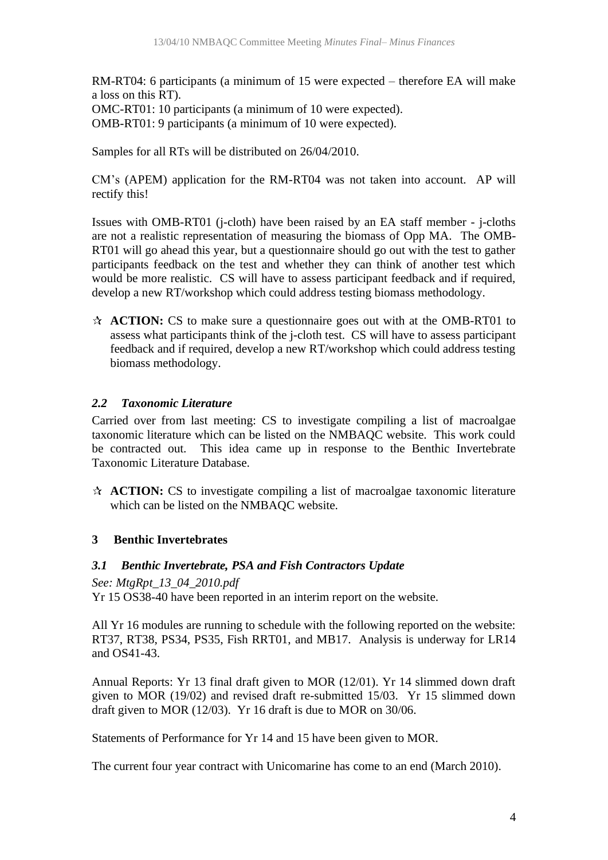RM-RT04: 6 participants (a minimum of 15 were expected – therefore EA will make a loss on this RT).

OMC-RT01: 10 participants (a minimum of 10 were expected).

OMB-RT01: 9 participants (a minimum of 10 were expected).

Samples for all RTs will be distributed on 26/04/2010.

CM's (APEM) application for the RM-RT04 was not taken into account. AP will rectify this!

Issues with OMB-RT01 (j-cloth) have been raised by an EA staff member - j-cloths are not a realistic representation of measuring the biomass of Opp MA. The OMB-RT01 will go ahead this year, but a questionnaire should go out with the test to gather participants feedback on the test and whether they can think of another test which would be more realistic. CS will have to assess participant feedback and if required, develop a new RT/workshop which could address testing biomass methodology.

**ACTION:** CS to make sure a questionnaire goes out with at the OMB-RT01 to assess what participants think of the j-cloth test. CS will have to assess participant feedback and if required, develop a new RT/workshop which could address testing biomass methodology.

### *2.2 Taxonomic Literature*

Carried over from last meeting: CS to investigate compiling a list of macroalgae taxonomic literature which can be listed on the NMBAQC website. This work could be contracted out. This idea came up in response to the Benthic Invertebrate Taxonomic Literature Database.

**ACTION:** CS to investigate compiling a list of macroalgae taxonomic literature which can be listed on the NMBAQC website.

### **3 Benthic Invertebrates**

### *3.1 Benthic Invertebrate, PSA and Fish Contractors Update*

*See: MtgRpt\_13\_04\_2010.pdf*

Yr 15 OS38-40 have been reported in an interim report on the website.

All Yr 16 modules are running to schedule with the following reported on the website: RT37, RT38, PS34, PS35, Fish RRT01, and MB17. Analysis is underway for LR14 and OS41-43.

Annual Reports: Yr 13 final draft given to MOR (12/01). Yr 14 slimmed down draft given to MOR (19/02) and revised draft re-submitted 15/03. Yr 15 slimmed down draft given to MOR (12/03). Yr 16 draft is due to MOR on 30/06.

Statements of Performance for Yr 14 and 15 have been given to MOR.

The current four year contract with Unicomarine has come to an end (March 2010).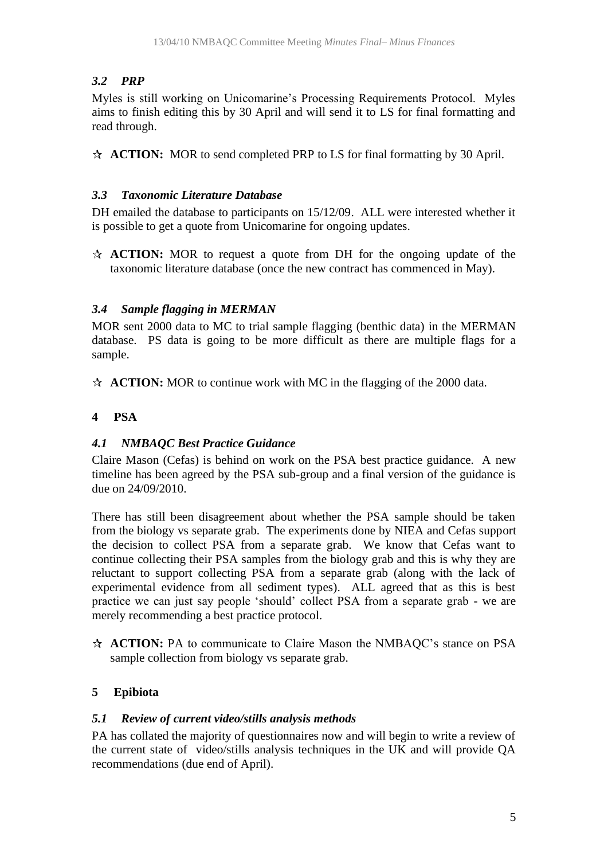# *3.2 PRP*

Myles is still working on Unicomarine's Processing Requirements Protocol. Myles aims to finish editing this by 30 April and will send it to LS for final formatting and read through.

**ACTION:** MOR to send completed PRP to LS for final formatting by 30 April.

## *3.3 Taxonomic Literature Database*

DH emailed the database to participants on 15/12/09. ALL were interested whether it is possible to get a quote from Unicomarine for ongoing updates.

**ACTION:** MOR to request a quote from DH for the ongoing update of the taxonomic literature database (once the new contract has commenced in May).

## *3.4 Sample flagging in MERMAN*

MOR sent 2000 data to MC to trial sample flagging (benthic data) in the MERMAN database. PS data is going to be more difficult as there are multiple flags for a sample.

**ACTION:** MOR to continue work with MC in the flagging of the 2000 data.

# **4 PSA**

## *4.1 NMBAQC Best Practice Guidance*

Claire Mason (Cefas) is behind on work on the PSA best practice guidance. A new timeline has been agreed by the PSA sub-group and a final version of the guidance is due on 24/09/2010.

There has still been disagreement about whether the PSA sample should be taken from the biology vs separate grab. The experiments done by NIEA and Cefas support the decision to collect PSA from a separate grab. We know that Cefas want to continue collecting their PSA samples from the biology grab and this is why they are reluctant to support collecting PSA from a separate grab (along with the lack of experimental evidence from all sediment types). ALL agreed that as this is best practice we can just say people 'should' collect PSA from a separate grab - we are merely recommending a best practice protocol.

**ACTION:** PA to communicate to Claire Mason the NMBAQC's stance on PSA sample collection from biology vs separate grab.

# **5 Epibiota**

## *5.1 Review of current video/stills analysis methods*

PA has collated the majority of questionnaires now and will begin to write a review of the current state of video/stills analysis techniques in the UK and will provide QA recommendations (due end of April).